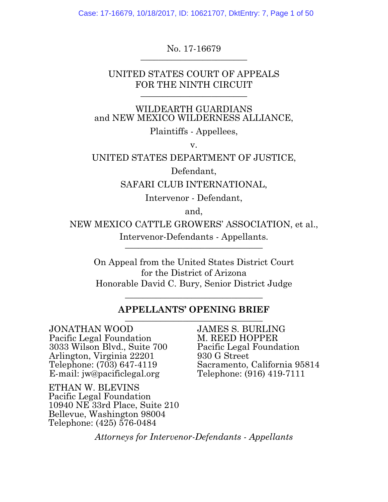Case: 17-16679, 10/18/2017, ID: 10621707, DktEntry: 7, Page 1 of 50

No. 17-16679 **\_\_\_\_\_\_\_\_\_\_\_\_\_\_\_\_\_\_\_\_\_\_\_\_**

UNITED STATES COURT OF APPEALS FOR THE NINTH CIRCUIT

WILDEARTH GUARDIANS and NEW MEXICO WILDERNESS ALLIANCE, Plaintiffs - Appellees,

v.

UNITED STATES DEPARTMENT OF JUSTICE,

Defendant,

SAFARI CLUB INTERNATIONAL,

Intervenor - Defendant,

and,

NEW MEXICO CATTLE GROWERS' ASSOCIATION, et al., Intervenor-Defendants - Appellants. **\_\_\_\_\_\_\_\_\_\_\_\_\_\_\_\_\_\_\_\_\_\_\_\_\_\_\_\_\_\_\_**

On Appeal from the United States District Court for the District of Arizona Honorable David C. Bury, Senior District Judge

#### **APPELLANTS' OPENING BRIEF \_\_\_\_\_\_\_\_\_\_\_\_\_\_\_\_\_\_\_\_\_\_\_\_\_\_\_\_\_\_\_**

**\_\_\_\_\_\_\_\_\_\_\_\_\_\_\_\_\_\_\_\_\_\_\_\_\_\_\_\_\_\_\_**

JONATHAN WOOD Pacific Legal Foundation 3033 Wilson Blvd., Suite 700 Arlington, Virginia 22201 Telephone: (703) 647-4119 E-mail: jw@pacificlegal.org

ETHAN W. BLEVINS Pacific Legal Foundation 10940 NE 33rd Place, Suite 210 Bellevue, Washington 98004 Telephone: (425) 576-0484

JAMES S. BURLING M. REED HOPPER Pacific Legal Foundation 930 G Street Sacramento, California 95814 Telephone: (916) 419-7111

*Attorneys for Intervenor-Defendants - Appellants*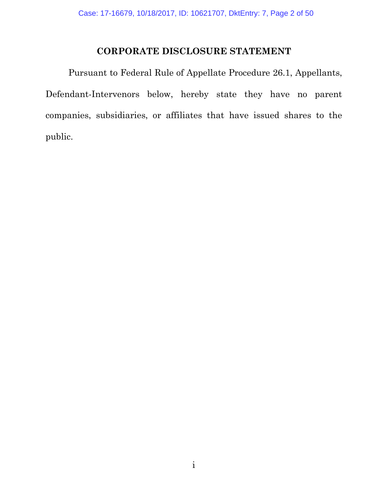## **CORPORATE DISCLOSURE STATEMENT**

Pursuant to Federal Rule of Appellate Procedure 26.1, Appellants, Defendant-Intervenors below, hereby state they have no parent companies, subsidiaries, or affiliates that have issued shares to the public.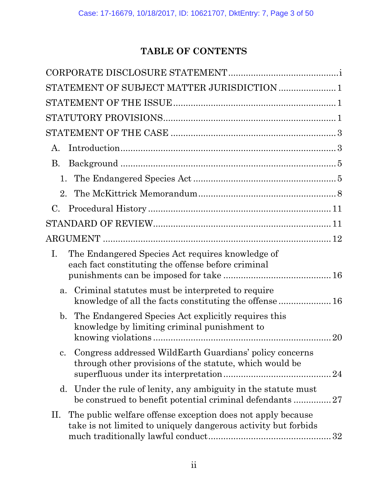# **TABLE OF CONTENTS**

| STATEMENT OF SUBJECT MATTER JURISDICTION  1                                                                                         |
|-------------------------------------------------------------------------------------------------------------------------------------|
|                                                                                                                                     |
|                                                                                                                                     |
|                                                                                                                                     |
| A.                                                                                                                                  |
| B.                                                                                                                                  |
| 1.                                                                                                                                  |
| 2.                                                                                                                                  |
| С.                                                                                                                                  |
|                                                                                                                                     |
|                                                                                                                                     |
| The Endangered Species Act requires knowledge of<br>Ι.<br>each fact constituting the offense before criminal                        |
| Criminal statutes must be interpreted to require<br>a.<br>knowledge of all the facts constituting the offense  16                   |
| b. The Endangered Species Act explicitly requires this<br>knowledge by limiting criminal punishment to<br>20                        |
| Congress addressed WildEarth Guardians' policy concerns<br>c.<br>through other provisions of the statute, which would be<br>24      |
| Under the rule of lenity, any ambiguity in the statute must<br>d.<br>be construed to benefit potential criminal defendants 27       |
| The public welfare offense exception does not apply because<br>П.<br>take is not limited to uniquely dangerous activity but forbids |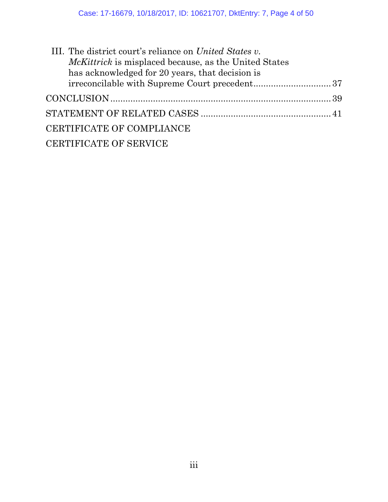| <i>McKittrick</i> is misplaced because, as the United States<br>has acknowledged for 20 years, that decision is<br>CERTIFICATE OF COMPLIANCE<br><b>CERTIFICATE OF SERVICE</b> | III. The district court's reliance on United States v. |  |
|-------------------------------------------------------------------------------------------------------------------------------------------------------------------------------|--------------------------------------------------------|--|
|                                                                                                                                                                               |                                                        |  |
|                                                                                                                                                                               |                                                        |  |
|                                                                                                                                                                               |                                                        |  |
|                                                                                                                                                                               |                                                        |  |
|                                                                                                                                                                               |                                                        |  |
|                                                                                                                                                                               |                                                        |  |
|                                                                                                                                                                               |                                                        |  |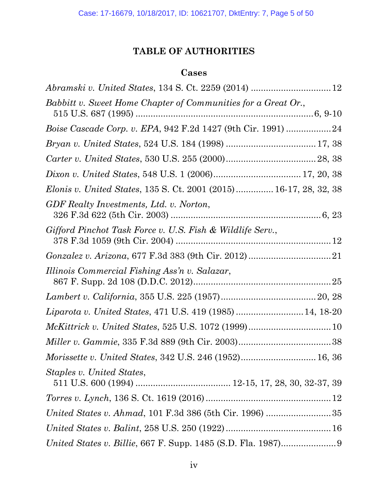# **TABLE OF AUTHORITIES**

### **Cases**

| Babbitt v. Sweet Home Chapter of Communities for a Great Or.,            |  |
|--------------------------------------------------------------------------|--|
| <i>Boise Cascade Corp. v. EPA, 942 F.2d 1427 (9th Cir. 1991) 24</i>      |  |
|                                                                          |  |
|                                                                          |  |
|                                                                          |  |
| <i>Elonis v. United States,</i> 135 S. Ct. 2001 (2015) 16-17, 28, 32, 38 |  |
| GDF Realty Investments, Ltd. v. Norton,                                  |  |
| Gifford Pinchot Task Force v. U.S. Fish & Wildlife Serv.,                |  |
|                                                                          |  |
| Illinois Commercial Fishing Ass'n v. Salazar,                            |  |
|                                                                          |  |
| Liparota v. United States, 471 U.S. 419 (1985)  14, 18-20                |  |
| $\it{McKittrick}\;v.\;United\;States,\,525\;U.S.\;1072\; (1999)10$       |  |
|                                                                          |  |
| Morissette v. United States, 342 U.S. 246 (1952) 16, 36                  |  |
| Staples v. United States,                                                |  |
|                                                                          |  |
|                                                                          |  |
|                                                                          |  |
|                                                                          |  |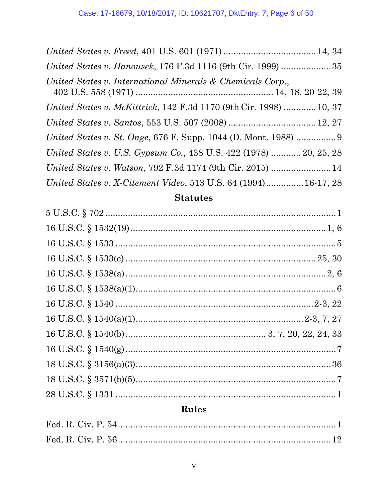| United States v. Hanousek, 176 F.3d 1116 (9th Cir. 1999) 35        |
|--------------------------------------------------------------------|
| United States v. International Minerals & Chemicals Corp.,         |
| United States v. McKittrick, 142 F.3d 1170 (9th Cir. 1998)  10, 37 |
|                                                                    |
|                                                                    |
| United States v. U.S. Gypsum Co., 438 U.S. 422 (1978)  20, 25, 28  |
|                                                                    |
| United States v. X-Citement Video, 513 U.S. 64 (1994) 16-17, 28    |

# **Statutes**

# Rules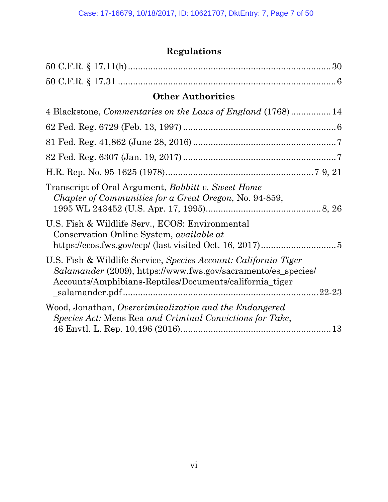# **Regulations**

| <b>Other Authorities</b>                                                                                                                                                                                                 |
|--------------------------------------------------------------------------------------------------------------------------------------------------------------------------------------------------------------------------|
| 4 Blackstone, Commentaries on the Laws of England (1768) 14                                                                                                                                                              |
|                                                                                                                                                                                                                          |
|                                                                                                                                                                                                                          |
|                                                                                                                                                                                                                          |
|                                                                                                                                                                                                                          |
| Transcript of Oral Argument, <i>Babbitt v. Sweet Home</i><br>Chapter of Communities for a Great Oregon, No. 94-859,                                                                                                      |
| U.S. Fish & Wildlife Serv., ECOS: Environmental<br>Conservation Online System, <i>available at</i>                                                                                                                       |
| U.S. Fish & Wildlife Service, Species Account: California Tiger<br>Salamander (2009), https://www.fws.gov/sacramento/es_species/<br>Accounts/Amphibians-Reptiles/Documents/california_tiger<br>$\_salamander.pdf1122-23$ |
| Wood, Jonathan, Overcriminalization and the Endangered<br>Species Act: Mens Rea and Criminal Convictions for Take,                                                                                                       |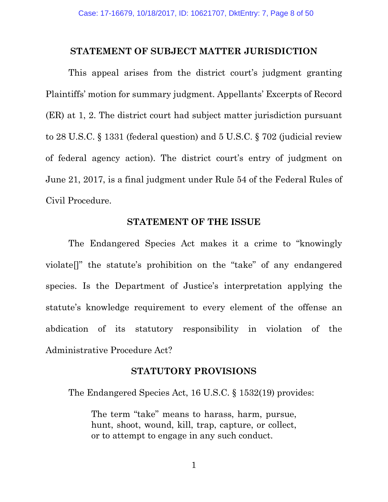#### **STATEMENT OF SUBJECT MATTER JURISDICTION**

This appeal arises from the district court's judgment granting Plaintiffs' motion for summary judgment. Appellants' Excerpts of Record (ER) at 1, 2. The district court had subject matter jurisdiction pursuant to 28 U.S.C. § 1331 (federal question) and 5 U.S.C. § 702 (judicial review of federal agency action). The district court's entry of judgment on June 21, 2017, is a final judgment under Rule 54 of the Federal Rules of Civil Procedure.

#### **STATEMENT OF THE ISSUE**

The Endangered Species Act makes it a crime to "knowingly violate[]" the statute's prohibition on the "take" of any endangered species. Is the Department of Justice's interpretation applying the statute's knowledge requirement to every element of the offense an abdication of its statutory responsibility in violation of the Administrative Procedure Act?

### **STATUTORY PROVISIONS**

The Endangered Species Act, 16 U.S.C. § 1532(19) provides:

The term "take" means to harass, harm, pursue, hunt, shoot, wound, kill, trap, capture, or collect, or to attempt to engage in any such conduct.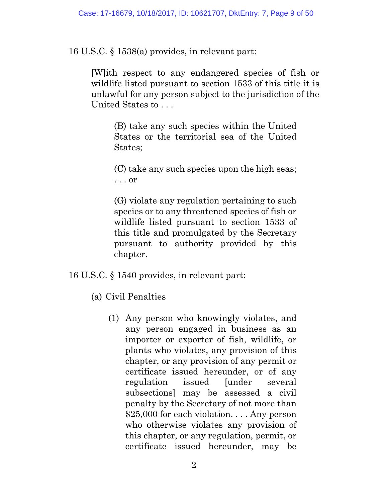16 U.S.C. § 1538(a) provides, in relevant part:

[W]ith respect to any endangered species of fish or wildlife listed pursuant to section 1533 of this title it is unlawful for any person subject to the jurisdiction of the United States to . . .

> (B) take any such species within the United States or the territorial sea of the United States;

> (C) take any such species upon the high seas; . . . or

> (G) violate any regulation pertaining to such species or to any threatened species of fish or wildlife listed pursuant to section 1533 of this title and promulgated by the Secretary pursuant to authority provided by this chapter.

16 U.S.C. § 1540 provides, in relevant part:

(a) Civil Penalties

(1) Any person who knowingly violates, and any person engaged in business as an importer or exporter of fish, wildlife, or plants who violates, any provision of this chapter, or any provision of any permit or certificate issued hereunder, or of any regulation issued [under several subsections] may be assessed a civil penalty by the Secretary of not more than \$25,000 for each violation... Any person who otherwise violates any provision of this chapter, or any regulation, permit, or certificate issued hereunder, may be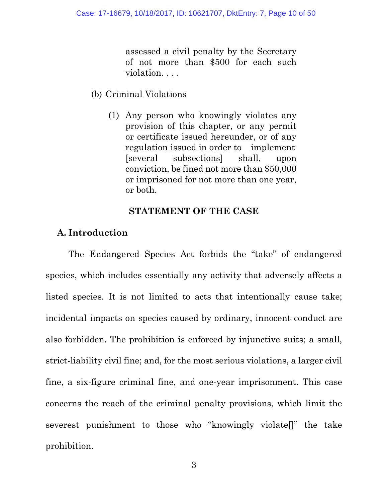assessed a civil penalty by the Secretary of not more than \$500 for each such violation. . . .

- (b) Criminal Violations
	- (1) Any person who knowingly violates any provision of this chapter, or any permit or certificate issued hereunder, or of any regulation issued in order to implement [several subsections] shall, upon conviction, be fined not more than \$50,000 or imprisoned for not more than one year, or both.

#### **STATEMENT OF THE CASE**

### **A. Introduction**

The Endangered Species Act forbids the "take" of endangered species, which includes essentially any activity that adversely affects a listed species. It is not limited to acts that intentionally cause take; incidental impacts on species caused by ordinary, innocent conduct are also forbidden. The prohibition is enforced by injunctive suits; a small, strict-liability civil fine; and, for the most serious violations, a larger civil fine, a six-figure criminal fine, and one-year imprisonment. This case concerns the reach of the criminal penalty provisions, which limit the severest punishment to those who "knowingly violate[]" the take prohibition.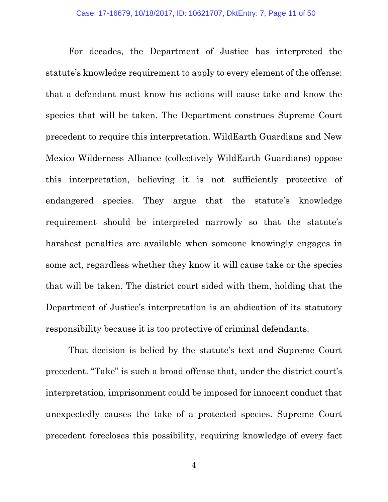For decades, the Department of Justice has interpreted the statute's knowledge requirement to apply to every element of the offense: that a defendant must know his actions will cause take and know the species that will be taken. The Department construes Supreme Court precedent to require this interpretation. WildEarth Guardians and New Mexico Wilderness Alliance (collectively WildEarth Guardians) oppose this interpretation, believing it is not sufficiently protective of endangered species. They argue that the statute's knowledge requirement should be interpreted narrowly so that the statute's harshest penalties are available when someone knowingly engages in some act, regardless whether they know it will cause take or the species that will be taken. The district court sided with them, holding that the Department of Justice's interpretation is an abdication of its statutory responsibility because it is too protective of criminal defendants.

That decision is belied by the statute's text and Supreme Court precedent. "Take" is such a broad offense that, under the district court's interpretation, imprisonment could be imposed for innocent conduct that unexpectedly causes the take of a protected species. Supreme Court precedent forecloses this possibility, requiring knowledge of every fact

4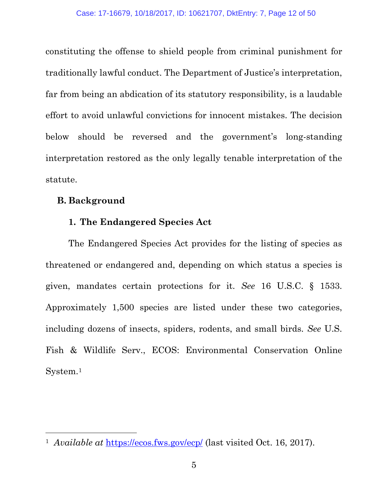constituting the offense to shield people from criminal punishment for traditionally lawful conduct. The Department of Justice's interpretation, far from being an abdication of its statutory responsibility, is a laudable effort to avoid unlawful convictions for innocent mistakes. The decision below should be reversed and the government's long-standing interpretation restored as the only legally tenable interpretation of the statute.

### **B. Background**

 $\overline{a}$ 

### **1. The Endangered Species Act**

The Endangered Species Act provides for the listing of species as threatened or endangered and, depending on which status a species is given, mandates certain protections for it. *See* 16 U.S.C. § 1533. Approximately 1,500 species are listed under these two categories, including dozens of insects, spiders, rodents, and small birds. *See* U.S. Fish & Wildlife Serv., ECOS: Environmental Conservation Online System.[1](#page-11-0)

<span id="page-11-0"></span><sup>1</sup> *Available at* <https://ecos.fws.gov/ecp/> (last visited Oct. 16, 2017).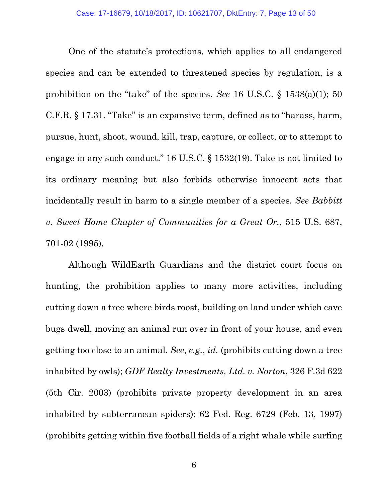One of the statute's protections, which applies to all endangered species and can be extended to threatened species by regulation, is a prohibition on the "take" of the species. *See* 16 U.S.C. § 1538(a)(1); 50 C.F.R. § 17.31. "Take" is an expansive term, defined as to "harass, harm, pursue, hunt, shoot, wound, kill, trap, capture, or collect, or to attempt to engage in any such conduct." 16 U.S.C. § 1532(19). Take is not limited to its ordinary meaning but also forbids otherwise innocent acts that incidentally result in harm to a single member of a species. *See Babbitt v. Sweet Home Chapter of Communities for a Great Or.*, 515 U.S. 687, 701-02 (1995).

Although WildEarth Guardians and the district court focus on hunting, the prohibition applies to many more activities, including cutting down a tree where birds roost, building on land under which cave bugs dwell, moving an animal run over in front of your house, and even getting too close to an animal. *See*, *e.g.*, *id.* (prohibits cutting down a tree inhabited by owls); *GDF Realty Investments, Ltd. v. Norton*, 326 F.3d 622 (5th Cir. 2003) (prohibits private property development in an area inhabited by subterranean spiders); 62 Fed. Reg. 6729 (Feb. 13, 1997) (prohibits getting within five football fields of a right whale while surfing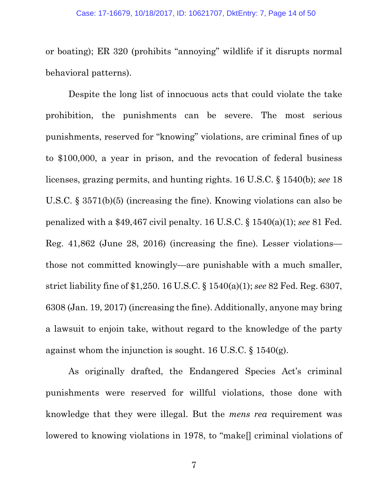or boating); ER 320 (prohibits "annoying" wildlife if it disrupts normal behavioral patterns).

Despite the long list of innocuous acts that could violate the take prohibition, the punishments can be severe. The most serious punishments, reserved for "knowing" violations, are criminal fines of up to \$100,000, a year in prison, and the revocation of federal business licenses, grazing permits, and hunting rights. 16 U.S.C. § 1540(b); *see* 18 U.S.C. § 3571(b)(5) (increasing the fine). Knowing violations can also be penalized with a \$49,467 civil penalty. 16 U.S.C. § 1540(a)(1); *see* 81 Fed. Reg. 41,862 (June 28, 2016) (increasing the fine). Lesser violations those not committed knowingly—are punishable with a much smaller, strict liability fine of \$1,250. 16 U.S.C. § 1540(a)(1); *see* 82 Fed. Reg. 6307, 6308 (Jan. 19, 2017) (increasing the fine). Additionally, anyone may bring a lawsuit to enjoin take, without regard to the knowledge of the party against whom the injunction is sought. 16 U.S.C. § 1540(g).

As originally drafted, the Endangered Species Act's criminal punishments were reserved for willful violations, those done with knowledge that they were illegal. But the *mens rea* requirement was lowered to knowing violations in 1978, to "make[] criminal violations of

7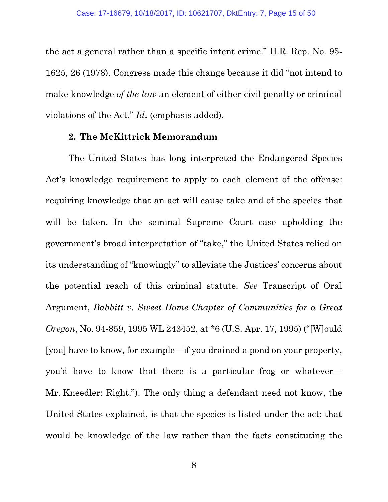the act a general rather than a specific intent crime." H.R. Rep. No. 95- 1625, 26 (1978). Congress made this change because it did "not intend to make knowledge *of the law* an element of either civil penalty or criminal violations of the Act." *Id*. (emphasis added).

#### **2. The McKittrick Memorandum**

The United States has long interpreted the Endangered Species Act's knowledge requirement to apply to each element of the offense: requiring knowledge that an act will cause take and of the species that will be taken. In the seminal Supreme Court case upholding the government's broad interpretation of "take," the United States relied on its understanding of "knowingly" to alleviate the Justices' concerns about the potential reach of this criminal statute. *See* Transcript of Oral Argument, *Babbitt v. Sweet Home Chapter of Communities for a Great Oregon*, No. 94-859, 1995 WL 243452, at \*6 (U.S. Apr. 17, 1995) ("[W]ould [you] have to know, for example—if you drained a pond on your property, you'd have to know that there is a particular frog or whatever— Mr. Kneedler: Right."). The only thing a defendant need not know, the United States explained, is that the species is listed under the act; that would be knowledge of the law rather than the facts constituting the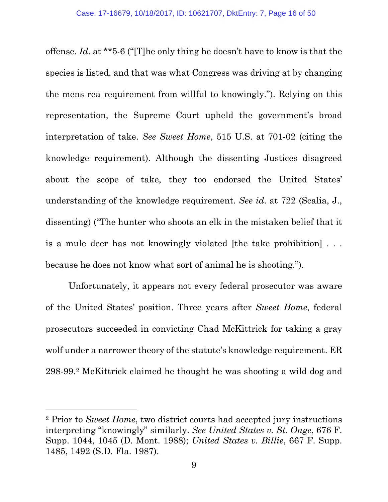offense. *Id*. at \*\*5-6 ("[T]he only thing he doesn't have to know is that the species is listed, and that was what Congress was driving at by changing the mens rea requirement from willful to knowingly."). Relying on this representation, the Supreme Court upheld the government's broad interpretation of take. *See Sweet Home*, 515 U.S. at 701-02 (citing the knowledge requirement). Although the dissenting Justices disagreed about the scope of take, they too endorsed the United States' understanding of the knowledge requirement. *See id*. at 722 (Scalia, J., dissenting) ("The hunter who shoots an elk in the mistaken belief that it is a mule deer has not knowingly violated [the take prohibition] . . . because he does not know what sort of animal he is shooting.").

Unfortunately, it appears not every federal prosecutor was aware of the United States' position. Three years after *Sweet Home*, federal prosecutors succeeded in convicting Chad McKittrick for taking a gray wolf under a narrower theory of the statute's knowledge requirement. ER 298-99.[2](#page-15-0) McKittrick claimed he thought he was shooting a wild dog and

 $\overline{a}$ 

<span id="page-15-0"></span><sup>2</sup> Prior to *Sweet Home*, two district courts had accepted jury instructions interpreting "knowingly" similarly. *See United States v. St. Onge*, 676 F. Supp. 1044, 1045 (D. Mont. 1988); *United States v. Billie*, 667 F. Supp. 1485, 1492 (S.D. Fla. 1987).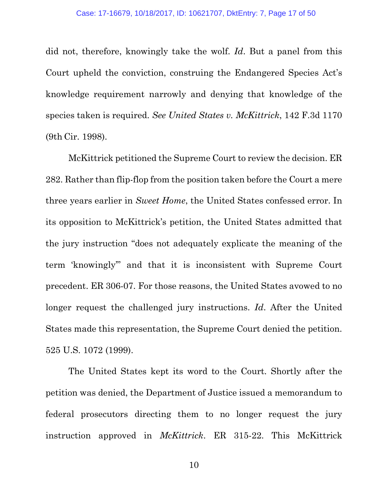did not, therefore, knowingly take the wolf. *Id*. But a panel from this Court upheld the conviction, construing the Endangered Species Act's knowledge requirement narrowly and denying that knowledge of the species taken is required. *See United States v. McKittrick*, 142 F.3d 1170 (9th Cir. 1998).

McKittrick petitioned the Supreme Court to review the decision. ER 282. Rather than flip-flop from the position taken before the Court a mere three years earlier in *Sweet Home*, the United States confessed error. In its opposition to McKittrick's petition, the United States admitted that the jury instruction "does not adequately explicate the meaning of the term 'knowingly'" and that it is inconsistent with Supreme Court precedent. ER 306-07. For those reasons, the United States avowed to no longer request the challenged jury instructions. *Id*. After the United States made this representation, the Supreme Court denied the petition. 525 U.S. 1072 (1999).

The United States kept its word to the Court. Shortly after the petition was denied, the Department of Justice issued a memorandum to federal prosecutors directing them to no longer request the jury instruction approved in *McKittrick*. ER 315-22. This McKittrick

10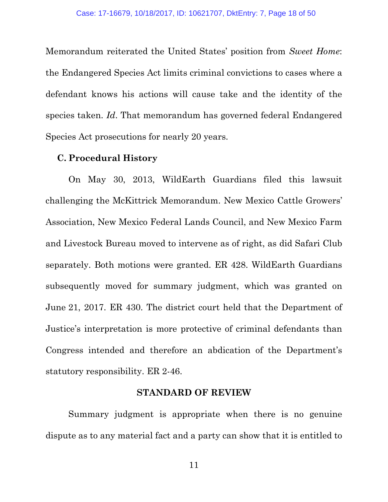Memorandum reiterated the United States' position from *Sweet Home*: the Endangered Species Act limits criminal convictions to cases where a defendant knows his actions will cause take and the identity of the species taken. *Id*. That memorandum has governed federal Endangered Species Act prosecutions for nearly 20 years.

#### **C. Procedural History**

On May 30, 2013, WildEarth Guardians filed this lawsuit challenging the McKittrick Memorandum. New Mexico Cattle Growers' Association, New Mexico Federal Lands Council, and New Mexico Farm and Livestock Bureau moved to intervene as of right, as did Safari Club separately. Both motions were granted. ER 428. WildEarth Guardians subsequently moved for summary judgment, which was granted on June 21, 2017. ER 430. The district court held that the Department of Justice's interpretation is more protective of criminal defendants than Congress intended and therefore an abdication of the Department's statutory responsibility. ER 2-46.

#### **STANDARD OF REVIEW**

Summary judgment is appropriate when there is no genuine dispute as to any material fact and a party can show that it is entitled to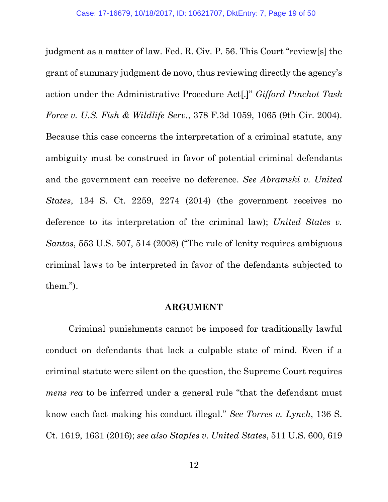judgment as a matter of law. Fed. R. Civ. P. 56. This Court "review[s] the grant of summary judgment de novo, thus reviewing directly the agency's action under the Administrative Procedure Act[.]" *Gifford Pinchot Task Force v. U.S. Fish & Wildlife Serv.*, 378 F.3d 1059, 1065 (9th Cir. 2004). Because this case concerns the interpretation of a criminal statute, any ambiguity must be construed in favor of potential criminal defendants and the government can receive no deference. *See Abramski v. United States*, 134 S. Ct. 2259, 2274 (2014) (the government receives no deference to its interpretation of the criminal law); *United States v. Santos*, 553 U.S. 507, 514 (2008) ("The rule of lenity requires ambiguous criminal laws to be interpreted in favor of the defendants subjected to them.").

#### **ARGUMENT**

Criminal punishments cannot be imposed for traditionally lawful conduct on defendants that lack a culpable state of mind. Even if a criminal statute were silent on the question, the Supreme Court requires *mens rea* to be inferred under a general rule "that the defendant must" know each fact making his conduct illegal." *See Torres v. Lynch*, 136 S. Ct. 1619, 1631 (2016); *see also Staples v. United States*, 511 U.S. 600, 619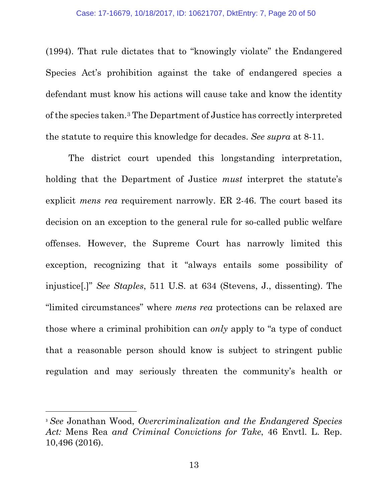(1994). That rule dictates that to "knowingly violate" the Endangered Species Act's prohibition against the take of endangered species a defendant must know his actions will cause take and know the identity of the species taken.[3](#page-19-0) The Department of Justice has correctly interpreted the statute to require this knowledge for decades. *See supra* at 8-11.

The district court upended this longstanding interpretation, holding that the Department of Justice *must* interpret the statute's explicit *mens rea* requirement narrowly. ER 2-46. The court based its decision on an exception to the general rule for so-called public welfare offenses. However, the Supreme Court has narrowly limited this exception, recognizing that it "always entails some possibility of injustice[.]" *See Staples*, 511 U.S. at 634 (Stevens, J., dissenting). The "limited circumstances" where *mens rea* protections can be relaxed are those where a criminal prohibition can *only* apply to "a type of conduct that a reasonable person should know is subject to stringent public regulation and may seriously threaten the community's health or

 $\overline{a}$ 

<span id="page-19-0"></span><sup>3</sup> *See* Jonathan Wood, *Overcriminalization and the Endangered Species Act:* Mens Rea *and Criminal Convictions for Take*, 46 Envtl. L. Rep. 10,496 (2016).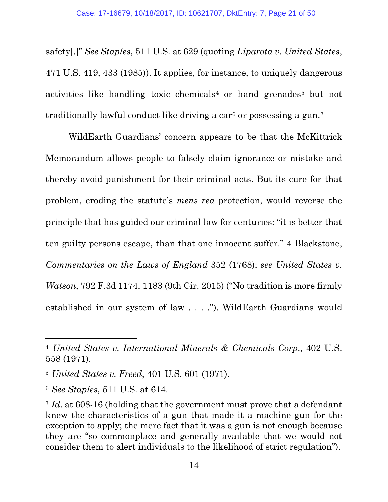safety[.]" *See Staples*, 511 U.S. at 629 (quoting *Liparota v. United States*, 471 U.S. 419, 433 (1985)). It applies, for instance, to uniquely dangerous activities like handling toxic chemicals<sup>[4](#page-20-0)</sup> or hand grenades<sup>[5](#page-20-1)</sup> but not traditionally lawful conduct like driving a car<sup>[6](#page-20-2)</sup> or possessing a gun.<sup>[7](#page-20-3)</sup>

WildEarth Guardians' concern appears to be that the McKittrick Memorandum allows people to falsely claim ignorance or mistake and thereby avoid punishment for their criminal acts. But its cure for that problem, eroding the statute's *mens rea* protection, would reverse the principle that has guided our criminal law for centuries: "it is better that ten guilty persons escape, than that one innocent suffer." 4 Blackstone, *Commentaries on the Laws of England* 352 (1768); *see United States v. Watson*, 792 F.3d 1174, 1183 (9th Cir. 2015) ("No tradition is more firmly established in our system of law . . . ."). WildEarth Guardians would

 $\overline{a}$ 

<span id="page-20-0"></span><sup>4</sup> *United States v. International Minerals & Chemicals Corp*., 402 U.S. 558 (1971).

<span id="page-20-1"></span><sup>5</sup> *United States v. Freed*, 401 U.S. 601 (1971).

<span id="page-20-2"></span><sup>6</sup> *See Staples*, 511 U.S. at 614.

<span id="page-20-3"></span><sup>7</sup> *Id*. at 608-16 (holding that the government must prove that a defendant knew the characteristics of a gun that made it a machine gun for the exception to apply; the mere fact that it was a gun is not enough because they are "so commonplace and generally available that we would not consider them to alert individuals to the likelihood of strict regulation").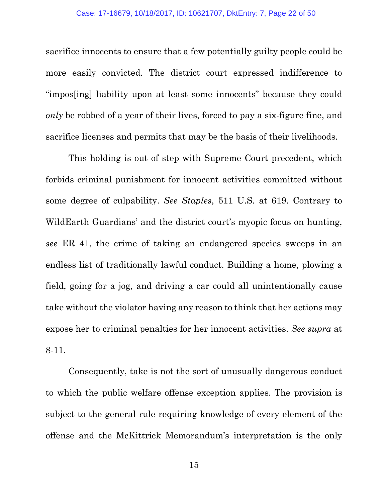sacrifice innocents to ensure that a few potentially guilty people could be more easily convicted. The district court expressed indifference to "impos[ing] liability upon at least some innocents" because they could *only* be robbed of a year of their lives, forced to pay a six-figure fine, and sacrifice licenses and permits that may be the basis of their livelihoods.

This holding is out of step with Supreme Court precedent, which forbids criminal punishment for innocent activities committed without some degree of culpability. *See Staples*, 511 U.S. at 619. Contrary to WildEarth Guardians' and the district court's myopic focus on hunting, *see* ER 41, the crime of taking an endangered species sweeps in an endless list of traditionally lawful conduct. Building a home, plowing a field, going for a jog, and driving a car could all unintentionally cause take without the violator having any reason to think that her actions may expose her to criminal penalties for her innocent activities. *See supra* at 8-11.

Consequently, take is not the sort of unusually dangerous conduct to which the public welfare offense exception applies. The provision is subject to the general rule requiring knowledge of every element of the offense and the McKittrick Memorandum's interpretation is the only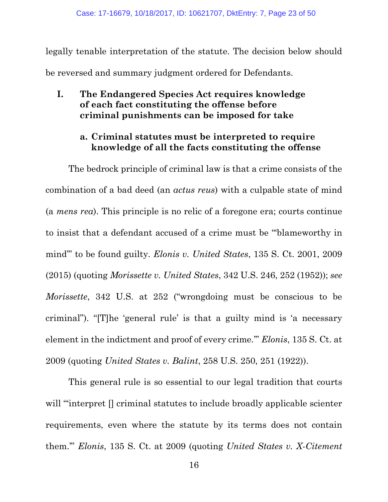legally tenable interpretation of the statute. The decision below should be reversed and summary judgment ordered for Defendants.

**I. The Endangered Species Act requires knowledge of each fact constituting the offense before criminal punishments can be imposed for take**

### **a. Criminal statutes must be interpreted to require knowledge of all the facts constituting the offense**

The bedrock principle of criminal law is that a crime consists of the combination of a bad deed (an *actus reus*) with a culpable state of mind (a *mens rea*). This principle is no relic of a foregone era; courts continue to insist that a defendant accused of a crime must be "'blameworthy in mind'" to be found guilty. *Elonis v. United States*, 135 S. Ct. 2001, 2009 (2015) (quoting *Morissette v. United States*, 342 U.S. 246, 252 (1952)); *see Morissette*, 342 U.S. at 252 ("wrongdoing must be conscious to be criminal"). "[T]he 'general rule' is that a guilty mind is 'a necessary element in the indictment and proof of every crime.'" *Elonis*, 135 S. Ct. at 2009 (quoting *United States v. Balint*, 258 U.S. 250, 251 (1922)).

This general rule is so essential to our legal tradition that courts will "interpret  $\Box$  criminal statutes to include broadly applicable scienter requirements, even where the statute by its terms does not contain them.'" *Elonis*, 135 S. Ct. at 2009 (quoting *United States v. X-Citement*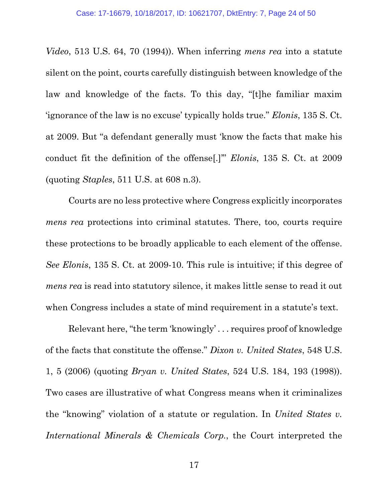*Video*, 513 U.S. 64, 70 (1994)). When inferring *mens rea* into a statute silent on the point, courts carefully distinguish between knowledge of the law and knowledge of the facts. To this day, "[t]he familiar maxim 'ignorance of the law is no excuse' typically holds true." *Elonis*, 135 S. Ct. at 2009. But "a defendant generally must 'know the facts that make his conduct fit the definition of the offense[.]'" *Elonis*, 135 S. Ct. at 2009 (quoting *Staples*, 511 U.S. at 608 n.3).

Courts are no less protective where Congress explicitly incorporates *mens rea* protections into criminal statutes. There, too, courts require these protections to be broadly applicable to each element of the offense. *See Elonis*, 135 S. Ct. at 2009-10. This rule is intuitive; if this degree of *mens rea* is read into statutory silence, it makes little sense to read it out when Congress includes a state of mind requirement in a statute's text.

Relevant here, "the term 'knowingly' . . . requires proof of knowledge of the facts that constitute the offense." *Dixon v. United States*, 548 U.S. 1, 5 (2006) (quoting *Bryan v. United States*, 524 U.S. 184, 193 (1998)). Two cases are illustrative of what Congress means when it criminalizes the "knowing" violation of a statute or regulation. In *United States v. International Minerals & Chemicals Corp.*, the Court interpreted the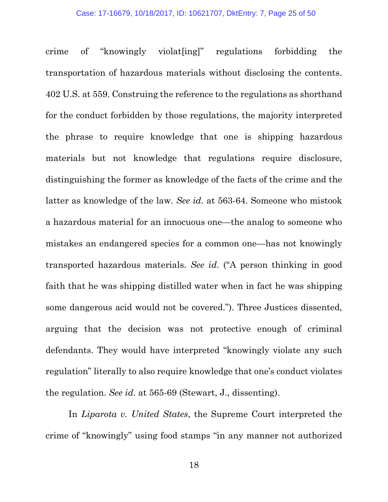#### Case: 17-16679, 10/18/2017, ID: 10621707, DktEntry: 7, Page 25 of 50

crime of "knowingly violat[ing]" regulations forbidding the transportation of hazardous materials without disclosing the contents. 402 U.S. at 559. Construing the reference to the regulations as shorthand for the conduct forbidden by those regulations, the majority interpreted the phrase to require knowledge that one is shipping hazardous materials but not knowledge that regulations require disclosure, distinguishing the former as knowledge of the facts of the crime and the latter as knowledge of the law. *See id*. at 563-64. Someone who mistook a hazardous material for an innocuous one—the analog to someone who mistakes an endangered species for a common one—has not knowingly transported hazardous materials. *See id*. ("A person thinking in good faith that he was shipping distilled water when in fact he was shipping some dangerous acid would not be covered."). Three Justices dissented, arguing that the decision was not protective enough of criminal defendants. They would have interpreted "knowingly violate any such regulation" literally to also require knowledge that one's conduct violates the regulation. *See id*. at 565-69 (Stewart, J., dissenting).

In *Liparota v. United States*, the Supreme Court interpreted the crime of "knowingly" using food stamps "in any manner not authorized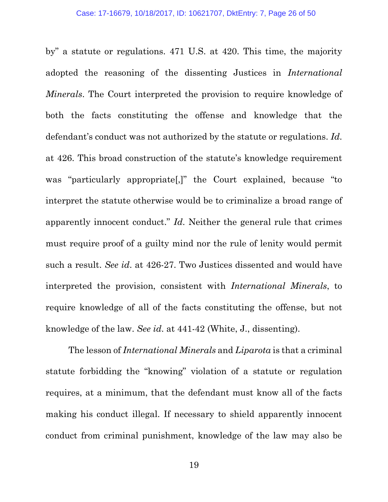by" a statute or regulations. 471 U.S. at 420. This time, the majority adopted the reasoning of the dissenting Justices in *International Minerals*. The Court interpreted the provision to require knowledge of both the facts constituting the offense and knowledge that the defendant's conduct was not authorized by the statute or regulations. *Id*. at 426. This broad construction of the statute's knowledge requirement was "particularly appropriate[,]" the Court explained, because "to interpret the statute otherwise would be to criminalize a broad range of apparently innocent conduct." *Id*. Neither the general rule that crimes must require proof of a guilty mind nor the rule of lenity would permit such a result. *See id*. at 426-27. Two Justices dissented and would have interpreted the provision, consistent with *International Minerals*, to require knowledge of all of the facts constituting the offense, but not knowledge of the law. *See id*. at 441-42 (White, J., dissenting).

The lesson of *International Minerals* and *Liparota* is that a criminal statute forbidding the "knowing" violation of a statute or regulation requires, at a minimum, that the defendant must know all of the facts making his conduct illegal. If necessary to shield apparently innocent conduct from criminal punishment, knowledge of the law may also be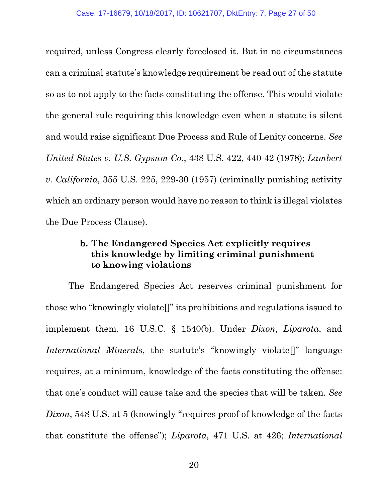required, unless Congress clearly foreclosed it. But in no circumstances can a criminal statute's knowledge requirement be read out of the statute so as to not apply to the facts constituting the offense. This would violate the general rule requiring this knowledge even when a statute is silent and would raise significant Due Process and Rule of Lenity concerns. *See United States v. U.S. Gypsum Co.*, 438 U.S. 422, 440-42 (1978); *Lambert v. California*, 355 U.S. 225, 229-30 (1957) (criminally punishing activity which an ordinary person would have no reason to think is illegal violates the Due Process Clause).

### **b. The Endangered Species Act explicitly requires this knowledge by limiting criminal punishment to knowing violations**

The Endangered Species Act reserves criminal punishment for those who "knowingly violate[]" its prohibitions and regulations issued to implement them. 16 U.S.C. § 1540(b). Under *Dixon*, *Liparota*, and *International Minerals*, the statute's "knowingly violate<sup>[]"</sup> language requires, at a minimum, knowledge of the facts constituting the offense: that one's conduct will cause take and the species that will be taken. *See Dixon*, 548 U.S. at 5 (knowingly "requires proof of knowledge of the facts that constitute the offense"); *Liparota*, 471 U.S. at 426; *International*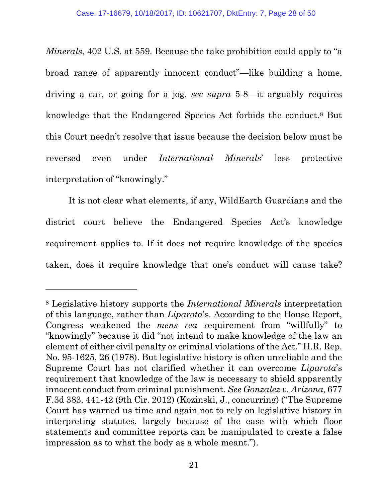*Minerals*, 402 U.S. at 559. Because the take prohibition could apply to "a" broad range of apparently innocent conduct"—like building a home, driving a car, or going for a jog, *see supra* 5-8—it arguably requires knowledge that the Endangered Species Act forbids the conduct.[8](#page-27-0) But this Court needn't resolve that issue because the decision below must be reversed even under *International Minerals*' less protective interpretation of "knowingly."

It is not clear what elements, if any, WildEarth Guardians and the district court believe the Endangered Species Act's knowledge requirement applies to. If it does not require knowledge of the species taken, does it require knowledge that one's conduct will cause take?

 $\overline{a}$ 

<span id="page-27-0"></span><sup>8</sup> Legislative history supports the *International Minerals* interpretation of this language, rather than *Liparota*'s. According to the House Report, Congress weakened the *mens rea* requirement from "willfully" to "knowingly" because it did "not intend to make knowledge of the law an element of either civil penalty or criminal violations of the Act." H.R. Rep. No. 95-1625, 26 (1978). But legislative history is often unreliable and the Supreme Court has not clarified whether it can overcome *Liparota*'s requirement that knowledge of the law is necessary to shield apparently innocent conduct from criminal punishment. *See Gonzalez v. Arizona*, 677 F.3d 383, 441-42 (9th Cir. 2012) (Kozinski, J., concurring) ("The Supreme Court has warned us time and again not to rely on legislative history in interpreting statutes, largely because of the ease with which floor statements and committee reports can be manipulated to create a false impression as to what the body as a whole meant.").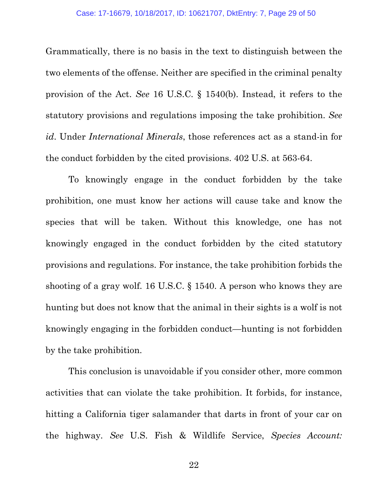Grammatically, there is no basis in the text to distinguish between the two elements of the offense. Neither are specified in the criminal penalty provision of the Act. *See* 16 U.S.C. § 1540(b). Instead, it refers to the statutory provisions and regulations imposing the take prohibition. *See id*. Under *International Minerals*, those references act as a stand-in for the conduct forbidden by the cited provisions. 402 U.S. at 563-64.

To knowingly engage in the conduct forbidden by the take prohibition, one must know her actions will cause take and know the species that will be taken. Without this knowledge, one has not knowingly engaged in the conduct forbidden by the cited statutory provisions and regulations. For instance, the take prohibition forbids the shooting of a gray wolf. 16 U.S.C. § 1540. A person who knows they are hunting but does not know that the animal in their sights is a wolf is not knowingly engaging in the forbidden conduct—hunting is not forbidden by the take prohibition.

This conclusion is unavoidable if you consider other, more common activities that can violate the take prohibition. It forbids, for instance, hitting a California tiger salamander that darts in front of your car on the highway. *See* U.S. Fish & Wildlife Service, *Species Account:*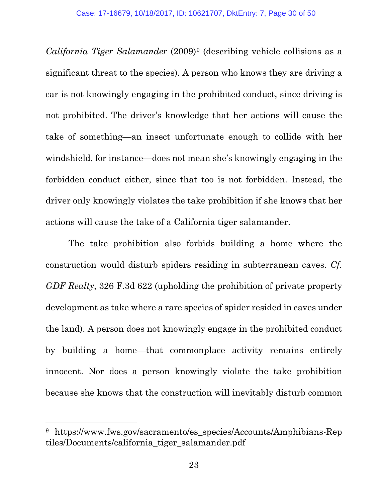*California Tiger Salamander* (2009)[9](#page-29-0) (describing vehicle collisions as a significant threat to the species). A person who knows they are driving a car is not knowingly engaging in the prohibited conduct, since driving is not prohibited. The driver's knowledge that her actions will cause the take of something—an insect unfortunate enough to collide with her windshield, for instance—does not mean she's knowingly engaging in the forbidden conduct either, since that too is not forbidden. Instead, the driver only knowingly violates the take prohibition if she knows that her actions will cause the take of a California tiger salamander.

The take prohibition also forbids building a home where the construction would disturb spiders residing in subterranean caves. *Cf. GDF Realty*, 326 F.3d 622 (upholding the prohibition of private property development as take where a rare species of spider resided in caves under the land). A person does not knowingly engage in the prohibited conduct by building a home—that commonplace activity remains entirely innocent. Nor does a person knowingly violate the take prohibition because she knows that the construction will inevitably disturb common

l

<span id="page-29-0"></span><sup>&</sup>lt;sup>9</sup> https://www.fws.gov/sacramento/es species/Accounts/Amphibians-Rep tiles/Documents/california\_tiger\_salamander.pdf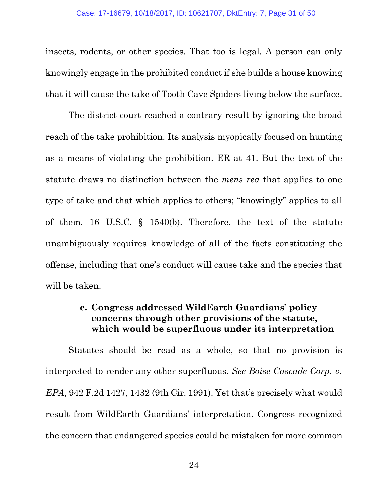insects, rodents, or other species. That too is legal. A person can only knowingly engage in the prohibited conduct if she builds a house knowing that it will cause the take of Tooth Cave Spiders living below the surface.

The district court reached a contrary result by ignoring the broad reach of the take prohibition. Its analysis myopically focused on hunting as a means of violating the prohibition. ER at 41. But the text of the statute draws no distinction between the *mens rea* that applies to one type of take and that which applies to others; "knowingly" applies to all of them. 16 U.S.C. § 1540(b). Therefore, the text of the statute unambiguously requires knowledge of all of the facts constituting the offense, including that one's conduct will cause take and the species that will be taken.

### **c. Congress addressed WildEarth Guardians' policy concerns through other provisions of the statute, which would be superfluous under its interpretation**

Statutes should be read as a whole, so that no provision is interpreted to render any other superfluous. *See Boise Cascade Corp. v. EPA*, 942 F.2d 1427, 1432 (9th Cir. 1991). Yet that's precisely what would result from WildEarth Guardians' interpretation. Congress recognized the concern that endangered species could be mistaken for more common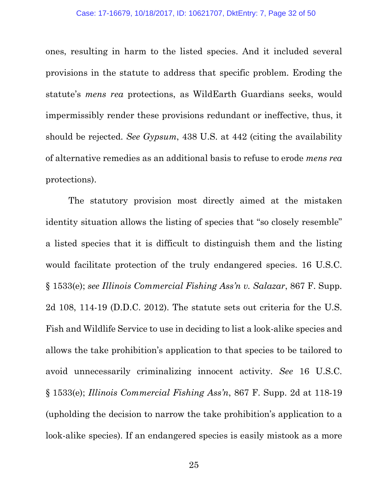ones, resulting in harm to the listed species. And it included several provisions in the statute to address that specific problem. Eroding the statute's *mens rea* protections, as WildEarth Guardians seeks, would impermissibly render these provisions redundant or ineffective, thus, it should be rejected. *See Gypsum*, 438 U.S. at 442 (citing the availability of alternative remedies as an additional basis to refuse to erode *mens rea*  protections).

The statutory provision most directly aimed at the mistaken identity situation allows the listing of species that "so closely resemble" a listed species that it is difficult to distinguish them and the listing would facilitate protection of the truly endangered species. 16 U.S.C. § 1533(e); *see Illinois Commercial Fishing Ass'n v. Salazar*, 867 F. Supp. 2d 108, 114-19 (D.D.C. 2012). The statute sets out criteria for the U.S. Fish and Wildlife Service to use in deciding to list a look-alike species and allows the take prohibition's application to that species to be tailored to avoid unnecessarily criminalizing innocent activity. *See* 16 U.S.C. § 1533(e); *Illinois Commercial Fishing Ass'n*, 867 F. Supp. 2d at 118-19 (upholding the decision to narrow the take prohibition's application to a look-alike species). If an endangered species is easily mistook as a more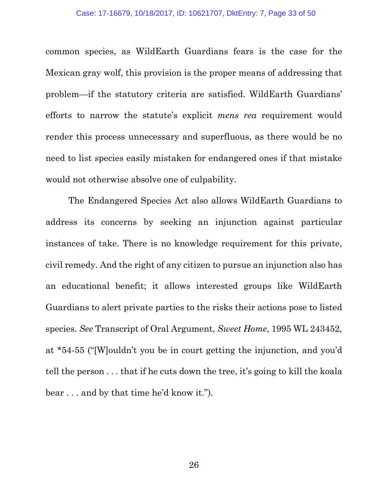common species, as WildEarth Guardians fears is the case for the Mexican gray wolf, this provision is the proper means of addressing that problem—if the statutory criteria are satisfied. WildEarth Guardians' efforts to narrow the statute's explicit *mens rea* requirement would render this process unnecessary and superfluous, as there would be no need to list species easily mistaken for endangered ones if that mistake would not otherwise absolve one of culpability.

The Endangered Species Act also allows WildEarth Guardians to address its concerns by seeking an injunction against particular instances of take. There is no knowledge requirement for this private, civil remedy. And the right of any citizen to pursue an injunction also has an educational benefit; it allows interested groups like WildEarth Guardians to alert private parties to the risks their actions pose to listed species. *See* Transcript of Oral Argument, *Sweet Home*, 1995 WL 243452, at \*54-55 ("[W]ouldn't you be in court getting the injunction, and you'd tell the person . . . that if he cuts down the tree, it's going to kill the koala bear . . . and by that time he'd know it.").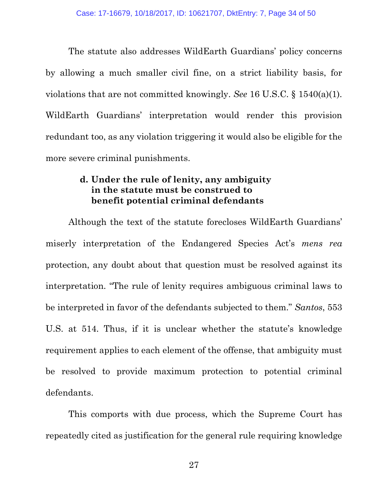The statute also addresses WildEarth Guardians' policy concerns by allowing a much smaller civil fine, on a strict liability basis, for violations that are not committed knowingly. *See* 16 U.S.C. § 1540(a)(1). WildEarth Guardians' interpretation would render this provision redundant too, as any violation triggering it would also be eligible for the more severe criminal punishments.

### **d. Under the rule of lenity, any ambiguity in the statute must be construed to benefit potential criminal defendants**

Although the text of the statute forecloses WildEarth Guardians' miserly interpretation of the Endangered Species Act's *mens rea*  protection, any doubt about that question must be resolved against its interpretation. "The rule of lenity requires ambiguous criminal laws to be interpreted in favor of the defendants subjected to them." *Santos*, 553 U.S. at 514. Thus, if it is unclear whether the statute's knowledge requirement applies to each element of the offense, that ambiguity must be resolved to provide maximum protection to potential criminal defendants.

This comports with due process, which the Supreme Court has repeatedly cited as justification for the general rule requiring knowledge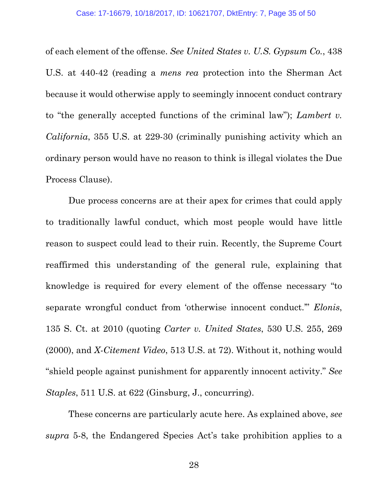of each element of the offense. *See United States v. U.S. Gypsum Co.*, 438 U.S. at 440-42 (reading a *mens rea* protection into the Sherman Act because it would otherwise apply to seemingly innocent conduct contrary to "the generally accepted functions of the criminal law"); *Lambert v. California*, 355 U.S. at 229-30 (criminally punishing activity which an ordinary person would have no reason to think is illegal violates the Due Process Clause).

Due process concerns are at their apex for crimes that could apply to traditionally lawful conduct, which most people would have little reason to suspect could lead to their ruin. Recently, the Supreme Court reaffirmed this understanding of the general rule, explaining that knowledge is required for every element of the offense necessary "to separate wrongful conduct from 'otherwise innocent conduct.'" *Elonis*, 135 S. Ct. at 2010 (quoting *Carter v. United States*, 530 U.S. 255, 269 (2000), and *X-Citement Video*, 513 U.S. at 72). Without it, nothing would "shield people against punishment for apparently innocent activity." *See Staples*, 511 U.S. at 622 (Ginsburg, J., concurring).

These concerns are particularly acute here. As explained above, *see supra* 5-8, the Endangered Species Act's take prohibition applies to a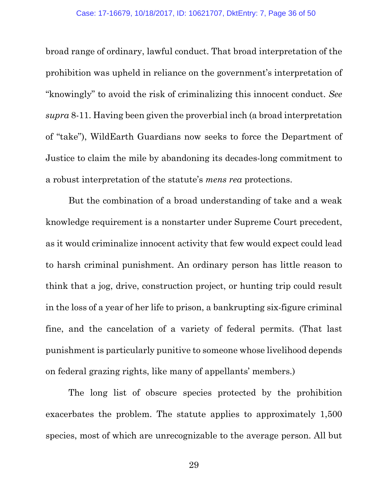broad range of ordinary, lawful conduct. That broad interpretation of the prohibition was upheld in reliance on the government's interpretation of "knowingly" to avoid the risk of criminalizing this innocent conduct. *See supra* 8-11. Having been given the proverbial inch (a broad interpretation of "take"), WildEarth Guardians now seeks to force the Department of Justice to claim the mile by abandoning its decades-long commitment to a robust interpretation of the statute's *mens rea* protections.

But the combination of a broad understanding of take and a weak knowledge requirement is a nonstarter under Supreme Court precedent, as it would criminalize innocent activity that few would expect could lead to harsh criminal punishment. An ordinary person has little reason to think that a jog, drive, construction project, or hunting trip could result in the loss of a year of her life to prison, a bankrupting six-figure criminal fine, and the cancelation of a variety of federal permits. (That last punishment is particularly punitive to someone whose livelihood depends on federal grazing rights, like many of appellants' members.)

The long list of obscure species protected by the prohibition exacerbates the problem. The statute applies to approximately 1,500 species, most of which are unrecognizable to the average person. All but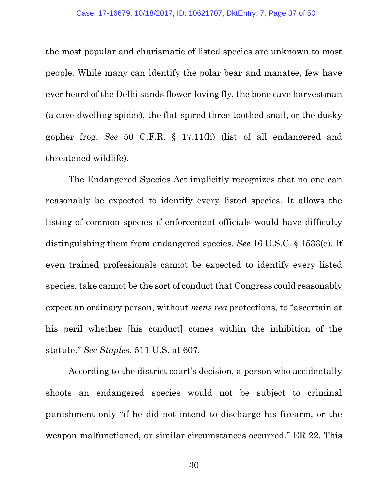the most popular and charismatic of listed species are unknown to most people. While many can identify the polar bear and manatee, few have ever heard of the Delhi sands flower-loving fly, the bone cave harvestman (a cave-dwelling spider), the flat-spired three-toothed snail, or the dusky gopher frog. *See* 50 C.F.R. § 17.11(h) (list of all endangered and threatened wildlife).

The Endangered Species Act implicitly recognizes that no one can reasonably be expected to identify every listed species. It allows the listing of common species if enforcement officials would have difficulty distinguishing them from endangered species. *See* 16 U.S.C. § 1533(e). If even trained professionals cannot be expected to identify every listed species, take cannot be the sort of conduct that Congress could reasonably expect an ordinary person, without *mens rea* protections, to "ascertain at his peril whether [his conduct] comes within the inhibition of the statute." *See Staples*, 511 U.S. at 607.

According to the district court's decision, a person who accidentally shoots an endangered species would not be subject to criminal punishment only "if he did not intend to discharge his firearm, or the weapon malfunctioned, or similar circumstances occurred." ER 22. This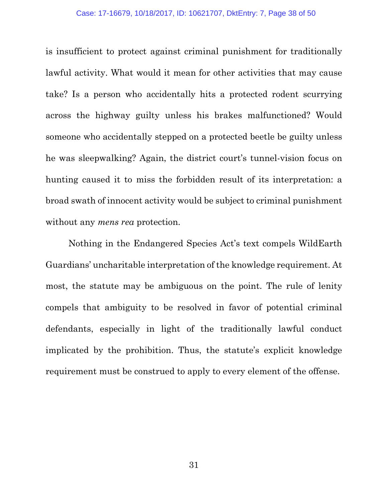is insufficient to protect against criminal punishment for traditionally lawful activity. What would it mean for other activities that may cause take? Is a person who accidentally hits a protected rodent scurrying across the highway guilty unless his brakes malfunctioned? Would someone who accidentally stepped on a protected beetle be guilty unless he was sleepwalking? Again, the district court's tunnel-vision focus on hunting caused it to miss the forbidden result of its interpretation: a broad swath of innocent activity would be subject to criminal punishment without any *mens rea* protection.

Nothing in the Endangered Species Act's text compels WildEarth Guardians' uncharitable interpretation of the knowledge requirement. At most, the statute may be ambiguous on the point. The rule of lenity compels that ambiguity to be resolved in favor of potential criminal defendants, especially in light of the traditionally lawful conduct implicated by the prohibition. Thus, the statute's explicit knowledge requirement must be construed to apply to every element of the offense.

31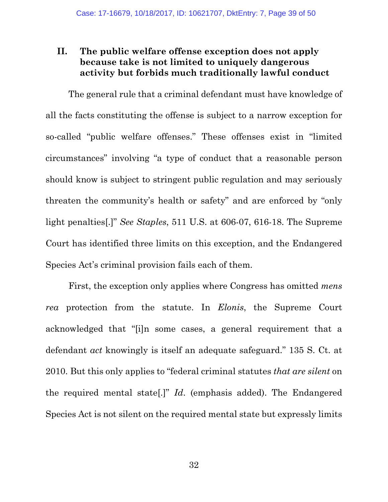## **II. The public welfare offense exception does not apply because take is not limited to uniquely dangerous activity but forbids much traditionally lawful conduct**

The general rule that a criminal defendant must have knowledge of all the facts constituting the offense is subject to a narrow exception for so-called "public welfare offenses." These offenses exist in "limited circumstances" involving "a type of conduct that a reasonable person should know is subject to stringent public regulation and may seriously threaten the community's health or safety" and are enforced by "only light penalties[.]" *See Staples*, 511 U.S. at 606-07, 616-18. The Supreme Court has identified three limits on this exception, and the Endangered Species Act's criminal provision fails each of them.

First, the exception only applies where Congress has omitted *mens rea* protection from the statute. In *Elonis*, the Supreme Court acknowledged that "[i]n some cases, a general requirement that a defendant *act* knowingly is itself an adequate safeguard." 135 S. Ct. at 2010. But this only applies to "federal criminal statutes *that are silent* on the required mental state[.]" *Id*. (emphasis added). The Endangered Species Act is not silent on the required mental state but expressly limits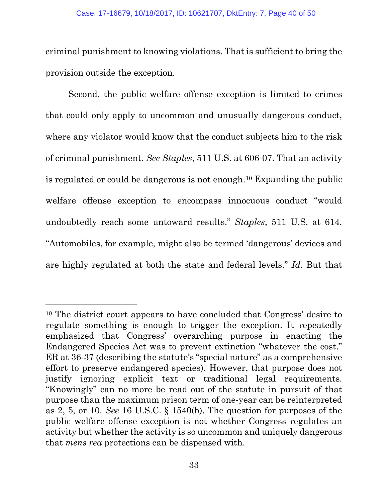criminal punishment to knowing violations. That is sufficient to bring the provision outside the exception.

Second, the public welfare offense exception is limited to crimes that could only apply to uncommon and unusually dangerous conduct, where any violator would know that the conduct subjects him to the risk of criminal punishment. *See Staples*, 511 U.S. at 606-07. That an activity is regulated or could be dangerous is not enough.[10](#page-39-0) Expanding the public welfare offense exception to encompass innocuous conduct "would undoubtedly reach some untoward results." *Staples*, 511 U.S. at 614. "Automobiles, for example, might also be termed 'dangerous' devices and are highly regulated at both the state and federal levels." *Id*. But that

 $\overline{a}$ 

<span id="page-39-0"></span><sup>10</sup> The district court appears to have concluded that Congress' desire to regulate something is enough to trigger the exception. It repeatedly emphasized that Congress' overarching purpose in enacting the Endangered Species Act was to prevent extinction "whatever the cost." ER at 36-37 (describing the statute's "special nature" as a comprehensive effort to preserve endangered species). However, that purpose does not justify ignoring explicit text or traditional legal requirements. "Knowingly" can no more be read out of the statute in pursuit of that purpose than the maximum prison term of one-year can be reinterpreted as 2, 5, or 10. *See* 16 U.S.C. § 1540(b). The question for purposes of the public welfare offense exception is not whether Congress regulates an activity but whether the activity is so uncommon and uniquely dangerous that *mens rea* protections can be dispensed with.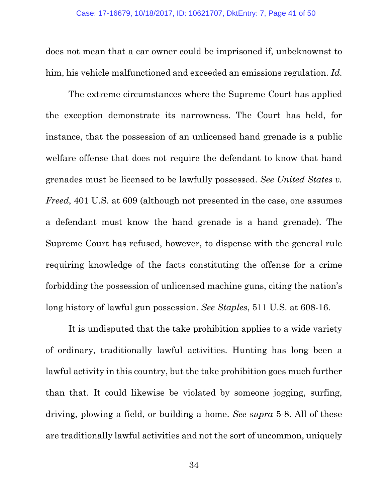does not mean that a car owner could be imprisoned if, unbeknownst to him, his vehicle malfunctioned and exceeded an emissions regulation. *Id*.

The extreme circumstances where the Supreme Court has applied the exception demonstrate its narrowness. The Court has held, for instance, that the possession of an unlicensed hand grenade is a public welfare offense that does not require the defendant to know that hand grenades must be licensed to be lawfully possessed. *See United States v. Freed*, 401 U.S. at 609 (although not presented in the case, one assumes a defendant must know the hand grenade is a hand grenade). The Supreme Court has refused, however, to dispense with the general rule requiring knowledge of the facts constituting the offense for a crime forbidding the possession of unlicensed machine guns, citing the nation's long history of lawful gun possession. *See Staples*, 511 U.S. at 608-16.

It is undisputed that the take prohibition applies to a wide variety of ordinary, traditionally lawful activities. Hunting has long been a lawful activity in this country, but the take prohibition goes much further than that. It could likewise be violated by someone jogging, surfing, driving, plowing a field, or building a home. *See supra* 5-8. All of these are traditionally lawful activities and not the sort of uncommon, uniquely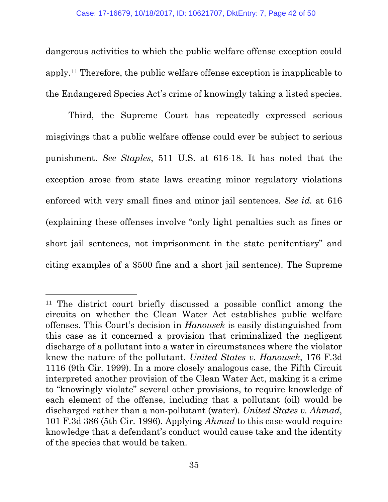dangerous activities to which the public welfare offense exception could apply.[11](#page-41-0) Therefore, the public welfare offense exception is inapplicable to the Endangered Species Act's crime of knowingly taking a listed species.

Third, the Supreme Court has repeatedly expressed serious misgivings that a public welfare offense could ever be subject to serious punishment. *See Staples*, 511 U.S. at 616-18. It has noted that the exception arose from state laws creating minor regulatory violations enforced with very small fines and minor jail sentences. *See id.* at 616 (explaining these offenses involve "only light penalties such as fines or short jail sentences, not imprisonment in the state penitentiary" and citing examples of a \$500 fine and a short jail sentence). The Supreme

 $\overline{a}$ 

<span id="page-41-0"></span><sup>11</sup> The district court briefly discussed a possible conflict among the circuits on whether the Clean Water Act establishes public welfare offenses. This Court's decision in *Hanousek* is easily distinguished from this case as it concerned a provision that criminalized the negligent discharge of a pollutant into a water in circumstances where the violator knew the nature of the pollutant. *United States v. Hanousek*, 176 F.3d 1116 (9th Cir. 1999). In a more closely analogous case, the Fifth Circuit interpreted another provision of the Clean Water Act, making it a crime to "knowingly violate" several other provisions, to require knowledge of each element of the offense, including that a pollutant (oil) would be discharged rather than a non-pollutant (water). *United States v. Ahmad*, 101 F.3d 386 (5th Cir. 1996). Applying *Ahmad* to this case would require knowledge that a defendant's conduct would cause take and the identity of the species that would be taken.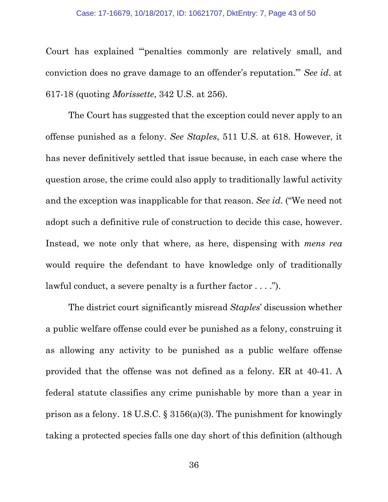Court has explained "'penalties commonly are relatively small, and conviction does no grave damage to an offender's reputation.'" *See id*. at 617-18 (quoting *Morissette*, 342 U.S. at 256).

The Court has suggested that the exception could never apply to an offense punished as a felony. *See Staples*, 511 U.S. at 618. However, it has never definitively settled that issue because, in each case where the question arose, the crime could also apply to traditionally lawful activity and the exception was inapplicable for that reason. *See id*. ("We need not adopt such a definitive rule of construction to decide this case, however. Instead, we note only that where, as here, dispensing with *mens rea*  would require the defendant to have knowledge only of traditionally lawful conduct, a severe penalty is a further factor . . . .").

The district court significantly misread *Staples*' discussion whether a public welfare offense could ever be punished as a felony, construing it as allowing any activity to be punished as a public welfare offense provided that the offense was not defined as a felony. ER at 40-41. A federal statute classifies any crime punishable by more than a year in prison as a felony. 18 U.S.C. § 3156(a)(3). The punishment for knowingly taking a protected species falls one day short of this definition (although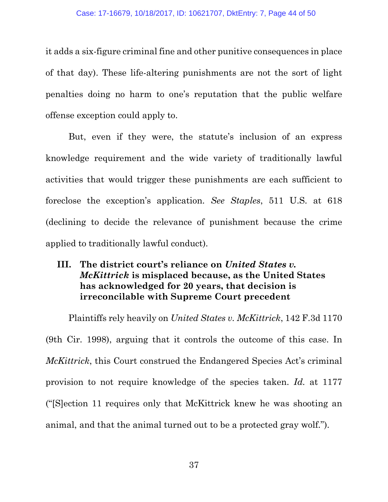it adds a six-figure criminal fine and other punitive consequences in place of that day). These life-altering punishments are not the sort of light penalties doing no harm to one's reputation that the public welfare offense exception could apply to.

But, even if they were, the statute's inclusion of an express knowledge requirement and the wide variety of traditionally lawful activities that would trigger these punishments are each sufficient to foreclose the exception's application. *See Staples*, 511 U.S. at 618 (declining to decide the relevance of punishment because the crime applied to traditionally lawful conduct).

## **III. The district court's reliance on** *United States v. McKittrick* **is misplaced because, as the United States has acknowledged for 20 years, that decision is irreconcilable with Supreme Court precedent**

Plaintiffs rely heavily on *United States v. McKittrick*, 142 F.3d 1170 (9th Cir. 1998), arguing that it controls the outcome of this case. In *McKittrick*, this Court construed the Endangered Species Act's criminal provision to not require knowledge of the species taken. *Id.* at 1177 ("[S]ection 11 requires only that McKittrick knew he was shooting an animal, and that the animal turned out to be a protected gray wolf.").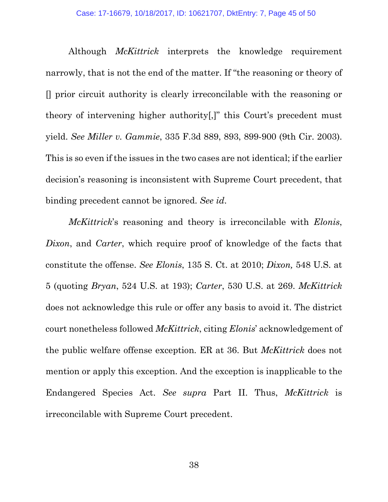Although *McKittrick* interprets the knowledge requirement narrowly, that is not the end of the matter. If "the reasoning or theory of [] prior circuit authority is clearly irreconcilable with the reasoning or theory of intervening higher authority[,]" this Court's precedent must yield. *See Miller v. Gammie*, 335 F.3d 889, 893, 899-900 (9th Cir. 2003). This is so even if the issues in the two cases are not identical; if the earlier decision's reasoning is inconsistent with Supreme Court precedent, that binding precedent cannot be ignored. *See id*.

*McKittrick*'s reasoning and theory is irreconcilable with *Elonis*, *Dixon*, and *Carter*, which require proof of knowledge of the facts that constitute the offense. *See Elonis*, 135 S. Ct. at 2010; *Dixon,* 548 U.S. at 5 (quoting *Bryan*, 524 U.S. at 193); *Carter*, 530 U.S. at 269. *McKittrick*  does not acknowledge this rule or offer any basis to avoid it. The district court nonetheless followed *McKittrick*, citing *Elonis*' acknowledgement of the public welfare offense exception. ER at 36. But *McKittrick* does not mention or apply this exception. And the exception is inapplicable to the Endangered Species Act. *See supra* Part II. Thus, *McKittrick* is irreconcilable with Supreme Court precedent.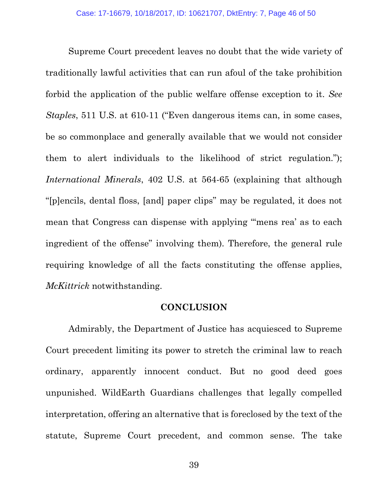Supreme Court precedent leaves no doubt that the wide variety of traditionally lawful activities that can run afoul of the take prohibition forbid the application of the public welfare offense exception to it. *See Staples*, 511 U.S. at 610-11 ("Even dangerous items can, in some cases, be so commonplace and generally available that we would not consider them to alert individuals to the likelihood of strict regulation."); *International Minerals*, 402 U.S. at 564-65 (explaining that although "[p]encils, dental floss, [and] paper clips" may be regulated, it does not mean that Congress can dispense with applying "mens rea' as to each ingredient of the offense" involving them). Therefore, the general rule requiring knowledge of all the facts constituting the offense applies, *McKittrick* notwithstanding.

#### **CONCLUSION**

Admirably, the Department of Justice has acquiesced to Supreme Court precedent limiting its power to stretch the criminal law to reach ordinary, apparently innocent conduct. But no good deed goes unpunished. WildEarth Guardians challenges that legally compelled interpretation, offering an alternative that is foreclosed by the text of the statute, Supreme Court precedent, and common sense. The take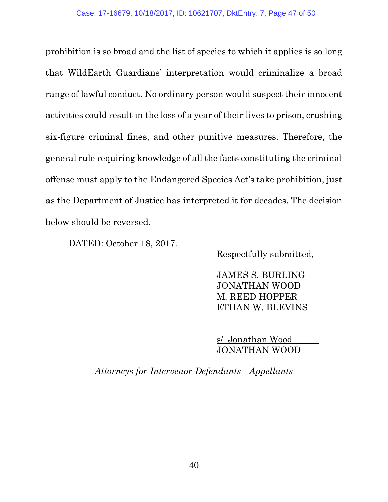prohibition is so broad and the list of species to which it applies is so long that WildEarth Guardians' interpretation would criminalize a broad range of lawful conduct. No ordinary person would suspect their innocent activities could result in the loss of a year of their lives to prison, crushing six-figure criminal fines, and other punitive measures. Therefore, the general rule requiring knowledge of all the facts constituting the criminal offense must apply to the Endangered Species Act's take prohibition, just as the Department of Justice has interpreted it for decades. The decision below should be reversed.

DATED: October 18, 2017.

Respectfully submitted,

JAMES S. BURLING JONATHAN WOOD M. REED HOPPER ETHAN W. BLEVINS

s/ Jonathan Wood JONATHAN WOOD

*Attorneys for Intervenor-Defendants - Appellants*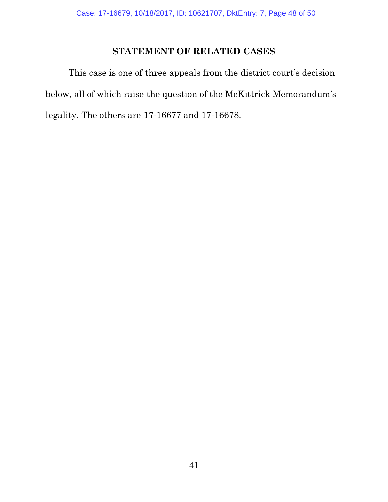## **STATEMENT OF RELATED CASES**

This case is one of three appeals from the district court's decision below, all of which raise the question of the McKittrick Memorandum's legality. The others are 17-16677 and 17-16678.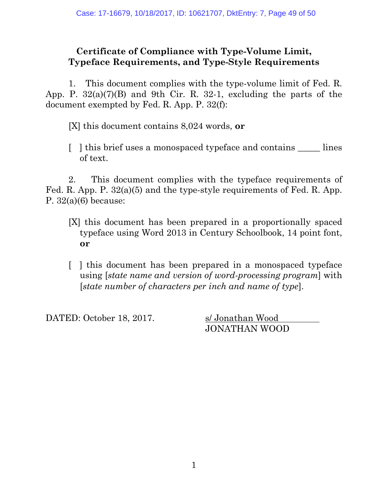## **Certificate of Compliance with Type-Volume Limit, Typeface Requirements, and Type-Style Requirements**

1. This document complies with the type-volume limit of Fed. R. App. P. 32(a)(7)(B) and 9th Cir. R. 32-1, excluding the parts of the document exempted by Fed. R. App. P. 32(f):

[X] this document contains 8,024 words, **or**

[ ] this brief uses a monospaced typeface and contains lines of text.

2. This document complies with the typeface requirements of Fed. R. App. P. 32(a)(5) and the type-style requirements of Fed. R. App. P. 32(a)(6) because:

- [X] this document has been prepared in a proportionally spaced typeface using Word 2013 in Century Schoolbook, 14 point font, **or**
- [ ] this document has been prepared in a monospaced typeface using [*state name and version of word-processing program*] with [*state number of characters per inch and name of type*].

DATED: October 18, 2017. s/ Jonathan Wood

JONATHAN WOOD